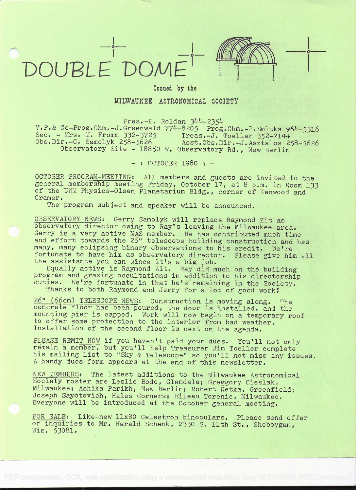## DOUPLE DOME1



i kacamatan ing Kabupatèn Bandar

## Issued by the

MILWAUKEE ASTRONOMICAL SOCIETY

 $Pres.-F.$  Roldan  $344-2354$ 

V.P.& Co-Prog.Chm.-J.Greenwald 774-8205 Prog.Chm.-P.Smitka 964-5316<br>Sec. - Mrs. M. Fromm 332-3725 Treas.-J. Toeller 352-7144<br>Obs.Dir.-G. Samolyk 258-5626 Asst.Obs.Dir.-J.Asztalos 258-5626<br>Observatory Site - 18850 W. Observ

 $-$  : OCTOBER 1980 :  $-$ 

OCTOBER PROGRAM-MEETING: All members and guests are invited to the general membership meeting Friday, October 17, at 8 p.m. in Room 133 of the UWM Physics-Olsen Planetarium Bldg. , corner of Kenwood and Cramer.

The program subject and speaker will be announced.

OBSERVATORY NEWS: Gerry Samolyk will replace Raymond Zit as observatory director owing to Ray's leaving the Milwaukee area. Gerry is a very active MAS member. He has contributed much time and effort towards the 26" telescope building construction and has many, many eclipsing binary observations to his credit. We're

fortunate to have him as observatory director. Please give him all<br>the assistance you can since it's a big job.<br>Equally active is Raymond Zit. Ray did much on the building<br>program and grazing occultations in addition to hi

 $\frac{26}{100}$  (66cm) TELESCOPE NEWS: Construction is moving along. The concrete floor has been poured, the door is installed, and the mounting pier is capped. Work will now begin on a temporary roof to offer some protectio

PLEASE REMIT NOW if you haven't paid your dues. You'll not only remain a member, but you'll help Treasurer Jim Toeller complete his mailing list to "Sky & Telescope" so you'll not miss any issues. <sup>A</sup>handy dues form appears at the end of this newsletter.

NEW MEMBERS: The latest additions to the Milwaukee Astronomical<br>Society roster are Leslie Bode, Glendale; Greggory Cieslak,<br>Milwaukee; Ashika Parikh, New Berlin; Robert Retka, Greenfield;<br>Joseph Sayotovich, Hales Corners;

FOR SALE: Like-new 11x80 Celestron binoculars. Please send offer or inquiries to Mr. Harald Schenk, 2330 S. 11th St., Sheboygan, Wis. 53081.